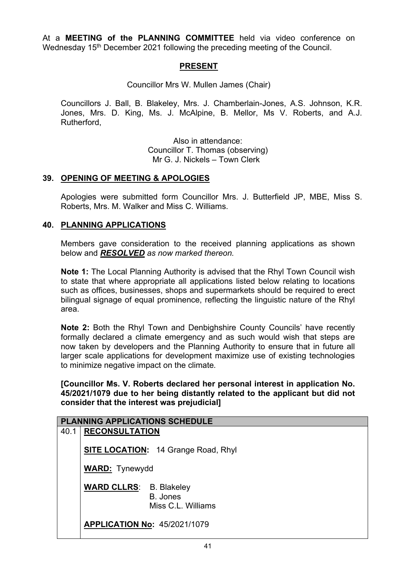At a **MEETING of the PLANNING COMMITTEE** held via video conference on Wednesday 15<sup>th</sup> December 2021 following the preceding meeting of the Council.

## **PRESENT**

Councillor Mrs W. Mullen James (Chair)

Councillors J. Ball, B. Blakeley, Mrs. J. Chamberlain-Jones, A.S. Johnson, K.R. Jones, Mrs. D. King, Ms. J. McAlpine, B. Mellor, Ms V. Roberts, and A.J. Rutherford,

> Also in attendance: Councillor T. Thomas (observing) Mr G. J. Nickels – Town Clerk

## **39. OPENING OF MEETING & APOLOGIES**

Apologies were submitted form Councillor Mrs. J. Butterfield JP, MBE, Miss S. Roberts, Mrs. M. Walker and Miss C. Williams.

#### **40. PLANNING APPLICATIONS**

Members gave consideration to the received planning applications as shown below and *RESOLVED as now marked thereon.*

**Note 1:** The Local Planning Authority is advised that the Rhyl Town Council wish to state that where appropriate all applications listed below relating to locations such as offices, businesses, shops and supermarkets should be required to erect bilingual signage of equal prominence, reflecting the linguistic nature of the Rhyl area.

**Note 2:** Both the Rhyl Town and Denbighshire County Councils' have recently formally declared a climate emergency and as such would wish that steps are now taken by developers and the Planning Authority to ensure that in future all larger scale applications for development maximize use of existing technologies to minimize negative impact on the climate*.*

**[Councillor Ms. V. Roberts declared her personal interest in application No. 45/2021/1079 due to her being distantly related to the applicant but did not consider that the interest was prejudicial]**

| <b>PLANNING APPLICATIONS SCHEDULE</b> |                                |                                            |
|---------------------------------------|--------------------------------|--------------------------------------------|
| 40.1                                  | <b>RECONSULTATION</b>          |                                            |
|                                       |                                | <b>SITE LOCATION:</b> 14 Grange Road, Rhyl |
|                                       | <b>WARD:</b> Tynewydd          |                                            |
|                                       | <b>WARD CLLRS:</b> B. Blakeley | B. Jones<br>Miss C.L. Williams             |
|                                       |                                | <b>APPLICATION No: 45/2021/1079</b>        |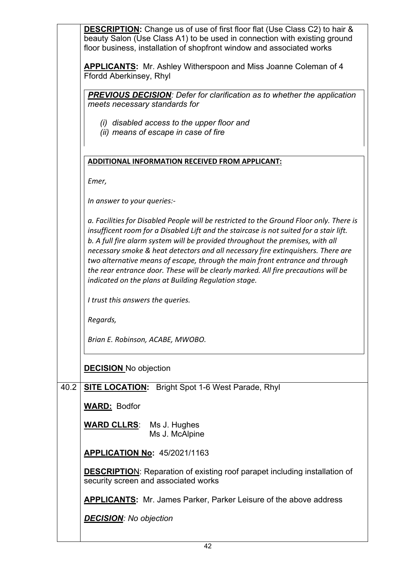| <b>DESCRIPTION:</b> Change us of use of first floor flat (Use Class C2) to hair &                                                                                                                                                                                                                                                                                                                                                                                                                                                                                                     |  |  |
|---------------------------------------------------------------------------------------------------------------------------------------------------------------------------------------------------------------------------------------------------------------------------------------------------------------------------------------------------------------------------------------------------------------------------------------------------------------------------------------------------------------------------------------------------------------------------------------|--|--|
| beauty Salon (Use Class A1) to be used in connection with existing ground<br>floor business, installation of shopfront window and associated works                                                                                                                                                                                                                                                                                                                                                                                                                                    |  |  |
| <b>APPLICANTS:</b> Mr. Ashley Witherspoon and Miss Joanne Coleman of 4<br>Ffordd Aberkinsey, Rhyl                                                                                                                                                                                                                                                                                                                                                                                                                                                                                     |  |  |
| <b>PREVIOUS DECISION:</b> Defer for clarification as to whether the application<br>meets necessary standards for                                                                                                                                                                                                                                                                                                                                                                                                                                                                      |  |  |
| (i) disabled access to the upper floor and<br>(ii) means of escape in case of fire                                                                                                                                                                                                                                                                                                                                                                                                                                                                                                    |  |  |
| ADDITIONAL INFORMATION RECEIVED FROM APPLICANT:                                                                                                                                                                                                                                                                                                                                                                                                                                                                                                                                       |  |  |
| Emer,                                                                                                                                                                                                                                                                                                                                                                                                                                                                                                                                                                                 |  |  |
| In answer to your queries:-                                                                                                                                                                                                                                                                                                                                                                                                                                                                                                                                                           |  |  |
| a. Facilities for Disabled People will be restricted to the Ground Floor only. There is<br>insufficent room for a Disabled Lift and the staircase is not suited for a stair lift.<br>b. A full fire alarm system will be provided throughout the premises, with all<br>necessary smoke & heat detectors and all necessary fire extinguishers. There are<br>two alternative means of escape, through the main front entrance and through<br>the rear entrance door. These will be clearly marked. All fire precautions will be<br>indicated on the plans at Building Regulation stage. |  |  |
| I trust this answers the queries.                                                                                                                                                                                                                                                                                                                                                                                                                                                                                                                                                     |  |  |
| Regards,                                                                                                                                                                                                                                                                                                                                                                                                                                                                                                                                                                              |  |  |
| Brian E. Robinson, ACABE, MWOBO.                                                                                                                                                                                                                                                                                                                                                                                                                                                                                                                                                      |  |  |
| <b>DECISION</b> No objection                                                                                                                                                                                                                                                                                                                                                                                                                                                                                                                                                          |  |  |
| <b>SITE LOCATION:</b> Bright Spot 1-6 West Parade, Rhyl                                                                                                                                                                                                                                                                                                                                                                                                                                                                                                                               |  |  |
| <b>WARD: Bodfor</b>                                                                                                                                                                                                                                                                                                                                                                                                                                                                                                                                                                   |  |  |
| <b>WARD CLLRS:</b> Ms J. Hughes<br>Ms J. McAlpine                                                                                                                                                                                                                                                                                                                                                                                                                                                                                                                                     |  |  |
| <b>APPLICATION No: 45/2021/1163</b>                                                                                                                                                                                                                                                                                                                                                                                                                                                                                                                                                   |  |  |
| <b>DESCRIPTION:</b> Reparation of existing roof parapet including installation of<br>security screen and associated works                                                                                                                                                                                                                                                                                                                                                                                                                                                             |  |  |
| <b>APPLICANTS:</b> Mr. James Parker, Parker Leisure of the above address                                                                                                                                                                                                                                                                                                                                                                                                                                                                                                              |  |  |
|                                                                                                                                                                                                                                                                                                                                                                                                                                                                                                                                                                                       |  |  |
|                                                                                                                                                                                                                                                                                                                                                                                                                                                                                                                                                                                       |  |  |

 $\overline{\phantom{a}}$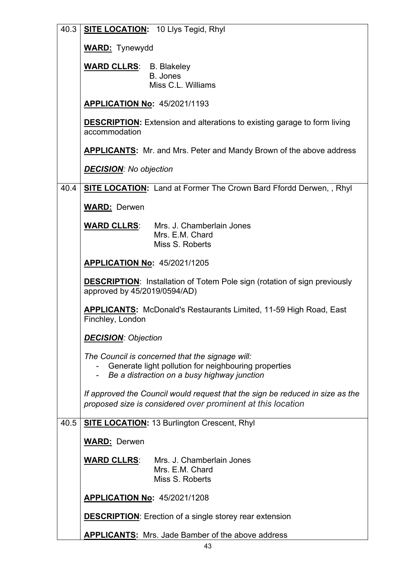| 40.3 | <b>SITE LOCATION: 10 Llys Tegid, Rhyl</b>                                                                                                    |  |  |
|------|----------------------------------------------------------------------------------------------------------------------------------------------|--|--|
|      | <b>WARD:</b> Tynewydd                                                                                                                        |  |  |
|      | <b>WARD CLLRS:</b> B. Blakeley                                                                                                               |  |  |
|      | B. Jones<br>Miss C.L. Williams                                                                                                               |  |  |
|      |                                                                                                                                              |  |  |
|      | <b>APPLICATION No: 45/2021/1193</b>                                                                                                          |  |  |
|      | <b>DESCRIPTION:</b> Extension and alterations to existing garage to form living<br>accommodation                                             |  |  |
|      | <b>APPLICANTS:</b> Mr. and Mrs. Peter and Mandy Brown of the above address                                                                   |  |  |
|      | <b>DECISION:</b> No objection                                                                                                                |  |  |
| 40.4 | <b>SITE LOCATION:</b> Land at Former The Crown Bard Ffordd Derwen, , Rhyl                                                                    |  |  |
|      | <b>WARD: Derwen</b>                                                                                                                          |  |  |
|      | <b>WARD CLLRS:</b> Mrs. J. Chamberlain Jones                                                                                                 |  |  |
|      | Mrs. E.M. Chard                                                                                                                              |  |  |
|      | Miss S. Roberts                                                                                                                              |  |  |
|      | <b>APPLICATION No: 45/2021/1205</b>                                                                                                          |  |  |
|      | <b>DESCRIPTION:</b> Installation of Totem Pole sign (rotation of sign previously<br>approved by 45/2019/0594/AD)                             |  |  |
|      | <b>APPLICANTS:</b> McDonald's Restaurants Limited, 11-59 High Road, East<br>Finchley, London                                                 |  |  |
|      | <b>DECISION: Objection</b>                                                                                                                   |  |  |
|      | The Council is concerned that the signage will:                                                                                              |  |  |
|      | Generate light pollution for neighbouring properties<br>Be a distraction on a busy highway junction                                          |  |  |
|      |                                                                                                                                              |  |  |
|      | If approved the Council would request that the sign be reduced in size as the<br>proposed size is considered over prominent at this location |  |  |
| 40.5 | <b>SITE LOCATION: 13 Burlington Crescent, Rhyl</b>                                                                                           |  |  |
|      |                                                                                                                                              |  |  |
|      | <b>WARD: Derwen</b>                                                                                                                          |  |  |
|      | <b>WARD CLLRS:</b> Mrs. J. Chamberlain Jones<br>Mrs. E.M. Chard<br>Miss S. Roberts                                                           |  |  |
|      | <b>APPLICATION No: 45/2021/1208</b>                                                                                                          |  |  |
|      | <b>DESCRIPTION:</b> Erection of a single storey rear extension                                                                               |  |  |
|      | <b>APPLICANTS:</b> Mrs. Jade Bamber of the above address                                                                                     |  |  |